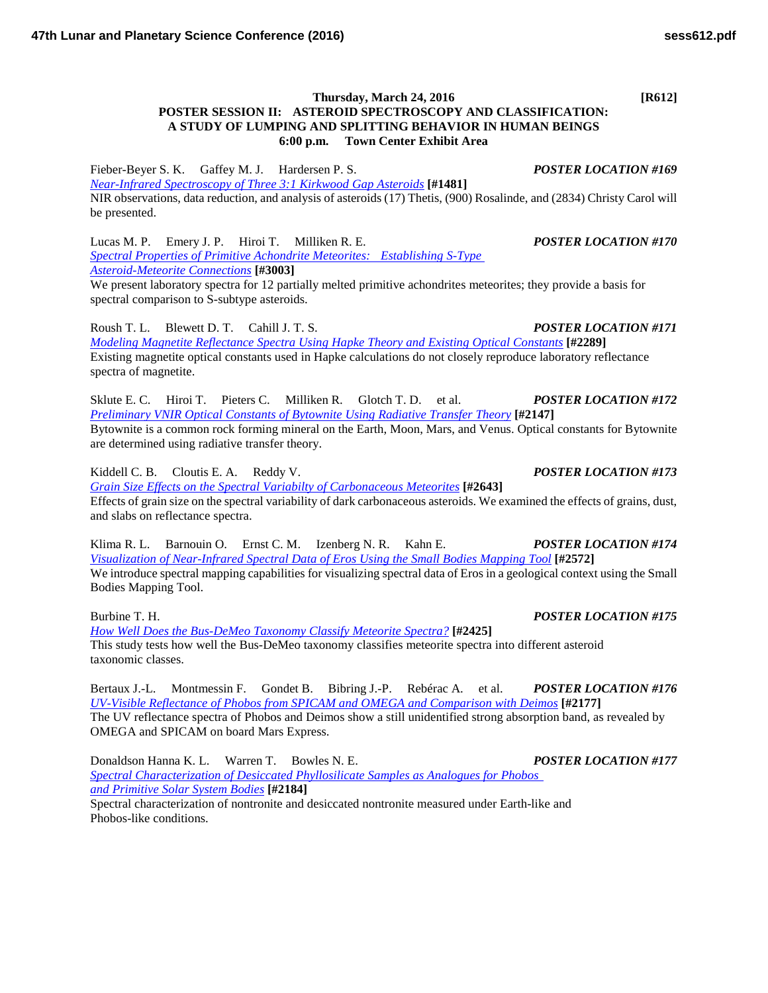Fieber-Beyer S. K. Gaffey M. J. Hardersen P. S. *POSTER LOCATION #169 [Near-Infrared Spectroscopy of Three 3:1 Kirkwood Gap](http://www.hou.usra.edu/meetings/lpsc2016/pdf/1481.pdf) Asteroids* **[#1481]** NIR observations, data reduction, and analysis of asteroids (17) Thetis, (900) Rosalinde, and (2834) Christy Carol will be presented.

Lucas M. P. Emery J. P. Hiroi T. Milliken R. E. *POSTER LOCATION #170 [Spectral Properties of Primitive Achondrite Meteorites: Establishing](http://www.hou.usra.edu/meetings/lpsc2016/pdf/3003.pdf) S-Type [Asteroid-Meteorite](http://www.hou.usra.edu/meetings/lpsc2016/pdf/3003.pdf) Connections* **[#3003]** We present laboratory spectra for 12 partially melted primitive achondrites meteorites; they provide a basis for

spectral comparison to S-subtype asteroids.

Roush T. L. Blewett D. T. Cahill J. T. S. *POSTER LOCATION #171 [Modeling Magnetite Reflectance Spectra Using Hapke Theory and Existing Optical](http://www.hou.usra.edu/meetings/lpsc2016/pdf/2289.pdf) Constants* **[#2289]** Existing magnetite optical constants used in Hapke calculations do not closely reproduce laboratory reflectance spectra of magnetite.

Sklute E. C. Hiroi T. Pieters C. Milliken R. Glotch T. D. et al. *POSTER LOCATION #172 [Preliminary VNIR Optical Constants of Bytownite Using Radiative Transfer](http://www.hou.usra.edu/meetings/lpsc2016/pdf/2147.pdf) Theory* **[#2147]** Bytownite is a common rock forming mineral on the Earth, Moon, Mars, and Venus. Optical constants for Bytownite are determined using radiative transfer theory.

Kiddell C. B. Cloutis E. A. Reddy V. *POSTER LOCATION #173 [Grain Size Effects on the Spectral Variabilty of Carbonaceous](http://www.hou.usra.edu/meetings/lpsc2016/pdf/2643.pdf) Meteorites* **[#2643]** Effects of grain size on the spectral variability of dark carbonaceous asteroids. We examined the effects of grains, dust, and slabs on reflectance spectra.

Klima R. L. Barnouin O. Ernst C. M. Izenberg N. R. Kahn E. *POSTER LOCATION #174 [Visualization of Near-Infrared Spectral Data of Eros Using the Small Bodies Mapping](http://www.hou.usra.edu/meetings/lpsc2016/pdf/2572.pdf) Tool* **[#2572]** We introduce spectral mapping capabilities for visualizing spectral data of Eros in a geological context using the Small Bodies Mapping Tool.

Burbine T. H. *POSTER LOCATION #175 [How Well Does the Bus-DeMeo Taxonomy Classify Meteorite](http://www.hou.usra.edu/meetings/lpsc2016/pdf/2425.pdf) Spectra?* **[#2425]** This study tests how well the Bus-DeMeo taxonomy classifies meteorite spectra into different asteroid taxonomic classes.

Bertaux J.-L. Montmessin F. Gondet B. Bibring J.-P. Rebérac A. et al. *POSTER LOCATION #176 [UV-Visible Reflectance of Phobos from SPICAM and OMEGA and Comparison with](http://www.hou.usra.edu/meetings/lpsc2016/pdf/2177.pdf) Deimos* **[#2177]** The UV reflectance spectra of Phobos and Deimos show a still unidentified strong absorption band, as revealed by OMEGA and SPICAM on board Mars Express.

Donaldson Hanna K. L. Warren T. Bowles N. E. *POSTER LOCATION #177 [Spectral Characterization of Desiccated Phyllosilicate Samples as Analogues for Phobos](http://www.hou.usra.edu/meetings/lpsc2016/pdf/2184.pdf)  [and Primitive Solar](http://www.hou.usra.edu/meetings/lpsc2016/pdf/2184.pdf) System Bodies* **[#2184]** Spectral characterization of nontronite and desiccated nontronite measured under Earth-like and Phobos-like conditions.